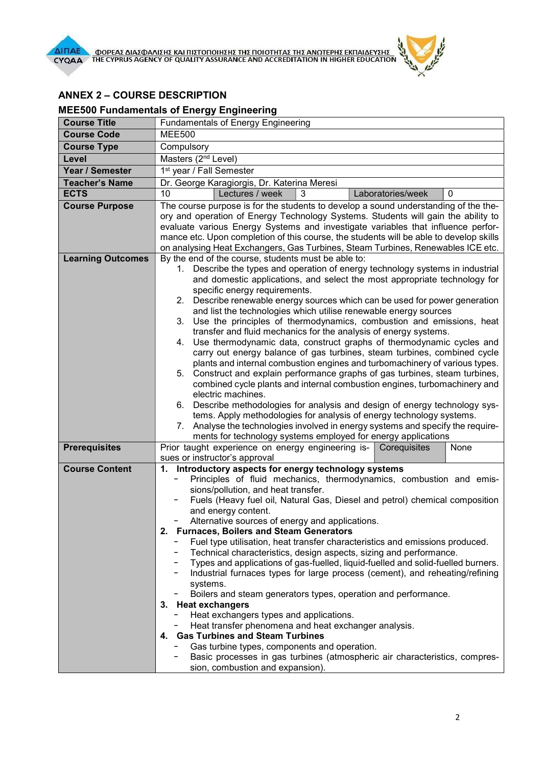

## ANNEX 2 – COURSE DESCRIPTION

## MEE500 Fundamentals of Energy Engineering

| <b>Course Title</b>      | Fundamentals of Energy Engineering                                                                                                                     |
|--------------------------|--------------------------------------------------------------------------------------------------------------------------------------------------------|
| <b>Course Code</b>       | <b>MEE500</b>                                                                                                                                          |
| <b>Course Type</b>       | Compulsory                                                                                                                                             |
| Level                    | Masters (2 <sup>nd</sup> Level)                                                                                                                        |
| Year / Semester          | 1 <sup>st</sup> year / Fall Semester                                                                                                                   |
| <b>Teacher's Name</b>    | Dr. George Karagiorgis, Dr. Katerina Meresi                                                                                                            |
| <b>ECTS</b>              | 10<br>Lectures / week<br>3<br>Laboratories/week<br>0                                                                                                   |
| <b>Course Purpose</b>    | The course purpose is for the students to develop a sound understanding of the the-                                                                    |
|                          | ory and operation of Energy Technology Systems. Students will gain the ability to                                                                      |
|                          | evaluate various Energy Systems and investigate variables that influence perfor-                                                                       |
|                          | mance etc. Upon completion of this course, the students will be able to develop skills                                                                 |
| <b>Learning Outcomes</b> | on analysing Heat Exchangers, Gas Turbines, Steam Turbines, Renewables ICE etc.<br>By the end of the course, students must be able to:                 |
|                          | 1. Describe the types and operation of energy technology systems in industrial                                                                         |
|                          | and domestic applications, and select the most appropriate technology for                                                                              |
|                          | specific energy requirements.                                                                                                                          |
|                          | Describe renewable energy sources which can be used for power generation<br>2.                                                                         |
|                          | and list the technologies which utilise renewable energy sources                                                                                       |
|                          | Use the principles of thermodynamics, combustion and emissions, heat<br>3.                                                                             |
|                          | transfer and fluid mechanics for the analysis of energy systems.                                                                                       |
|                          | Use thermodynamic data, construct graphs of thermodynamic cycles and<br>4.<br>carry out energy balance of gas turbines, steam turbines, combined cycle |
|                          | plants and internal combustion engines and turbomachinery of various types.                                                                            |
|                          | Construct and explain performance graphs of gas turbines, steam turbines,<br>5.                                                                        |
|                          | combined cycle plants and internal combustion engines, turbomachinery and                                                                              |
|                          | electric machines.                                                                                                                                     |
|                          | Describe methodologies for analysis and design of energy technology sys-<br>6.                                                                         |
|                          | tems. Apply methodologies for analysis of energy technology systems.                                                                                   |
|                          | 7. Analyse the technologies involved in energy systems and specify the require-                                                                        |
| <b>Prerequisites</b>     | ments for technology systems employed for energy applications<br>Prior taught experience on energy engineering is- Corequisites<br>None                |
|                          | sues or instructor's approval                                                                                                                          |
| <b>Course Content</b>    | 1. Introductory aspects for energy technology systems                                                                                                  |
|                          | Principles of fluid mechanics, thermodynamics, combustion and emis-                                                                                    |
|                          | sions/pollution, and heat transfer.                                                                                                                    |
|                          | Fuels (Heavy fuel oil, Natural Gas, Diesel and petrol) chemical composition                                                                            |
|                          | and energy content.                                                                                                                                    |
|                          | Alternative sources of energy and applications.<br>2. Furnaces, Boilers and Steam Generators                                                           |
|                          | Fuel type utilisation, heat transfer characteristics and emissions produced.                                                                           |
|                          | Technical characteristics, design aspects, sizing and performance.                                                                                     |
|                          | Types and applications of gas-fuelled, liquid-fuelled and solid-fuelled burners.                                                                       |
|                          | Industrial furnaces types for large process (cement), and reheating/refining                                                                           |
|                          | systems.                                                                                                                                               |
|                          | Boilers and steam generators types, operation and performance.                                                                                         |
|                          | 3. Heat exchangers                                                                                                                                     |
|                          | Heat exchangers types and applications.<br>Heat transfer phenomena and heat exchanger analysis.                                                        |
|                          | 4. Gas Turbines and Steam Turbines                                                                                                                     |
|                          | Gas turbine types, components and operation.                                                                                                           |
|                          | Basic processes in gas turbines (atmospheric air characteristics, compres-                                                                             |
|                          | sion, combustion and expansion).                                                                                                                       |

 $\mathbf{r}$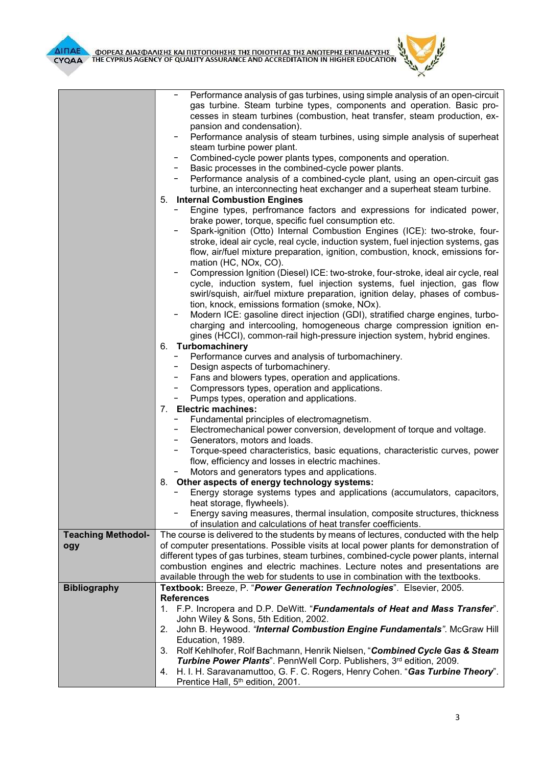

|                           | Performance analysis of gas turbines, using simple analysis of an open-circuit                                                |
|---------------------------|-------------------------------------------------------------------------------------------------------------------------------|
|                           | gas turbine. Steam turbine types, components and operation. Basic pro-                                                        |
|                           | cesses in steam turbines (combustion, heat transfer, steam production, ex-                                                    |
|                           | pansion and condensation).                                                                                                    |
|                           | Performance analysis of steam turbines, using simple analysis of superheat                                                    |
|                           | steam turbine power plant.                                                                                                    |
|                           | Combined-cycle power plants types, components and operation.                                                                  |
|                           | Basic processes in the combined-cycle power plants.                                                                           |
|                           | Performance analysis of a combined-cycle plant, using an open-circuit gas                                                     |
|                           | turbine, an interconnecting heat exchanger and a superheat steam turbine.                                                     |
|                           | 5. Internal Combustion Engines                                                                                                |
|                           | Engine types, perfromance factors and expressions for indicated power,<br>brake power, torque, specific fuel consumption etc. |
|                           | Spark-ignition (Otto) Internal Combustion Engines (ICE): two-stroke, four-                                                    |
|                           | stroke, ideal air cycle, real cycle, induction system, fuel injection systems, gas                                            |
|                           | flow, air/fuel mixture preparation, ignition, combustion, knock, emissions for-                                               |
|                           |                                                                                                                               |
|                           | mation (HC, NOx, CO).<br>Compression Ignition (Diesel) ICE: two-stroke, four-stroke, ideal air cycle, real                    |
|                           | cycle, induction system, fuel injection systems, fuel injection, gas flow                                                     |
|                           | swirl/squish, air/fuel mixture preparation, ignition delay, phases of combus-                                                 |
|                           | tion, knock, emissions formation (smoke, NOx).                                                                                |
|                           | Modern ICE: gasoline direct injection (GDI), stratified charge engines, turbo-                                                |
|                           | charging and intercooling, homogeneous charge compression ignition en-                                                        |
|                           | gines (HCCI), common-rail high-pressure injection system, hybrid engines.                                                     |
|                           | 6. Turbomachinery                                                                                                             |
|                           | Performance curves and analysis of turbomachinery.                                                                            |
|                           | Design aspects of turbomachinery.                                                                                             |
|                           | Fans and blowers types, operation and applications.                                                                           |
|                           | Compressors types, operation and applications.                                                                                |
|                           | Pumps types, operation and applications.                                                                                      |
|                           | 7. Electric machines:                                                                                                         |
|                           | Fundamental principles of electromagnetism.                                                                                   |
|                           | Electromechanical power conversion, development of torque and voltage.                                                        |
|                           | Generators, motors and loads.                                                                                                 |
|                           | Torque-speed characteristics, basic equations, characteristic curves, power                                                   |
|                           | flow, efficiency and losses in electric machines.                                                                             |
|                           | Motors and generators types and applications.                                                                                 |
|                           | 8. Other aspects of energy technology systems:                                                                                |
|                           | Energy storage systems types and applications (accumulators, capacitors,                                                      |
|                           | heat storage, flywheels).                                                                                                     |
|                           | Energy saving measures, thermal insulation, composite structures, thickness                                                   |
|                           | of insulation and calculations of heat transfer coefficients.                                                                 |
| <b>Teaching Methodol-</b> | The course is delivered to the students by means of lectures, conducted with the help                                         |
| ogy                       | of computer presentations. Possible visits at local power plants for demonstration of                                         |
|                           | different types of gas turbines, steam turbines, combined-cycle power plants, internal                                        |
|                           | combustion engines and electric machines. Lecture notes and presentations are                                                 |
|                           | available through the web for students to use in combination with the textbooks.                                              |
| <b>Bibliography</b>       | Textbook: Breeze, P. "Power Generation Technologies". Elsevier, 2005.                                                         |
|                           | <b>References</b>                                                                                                             |
|                           | 1. F.P. Incropera and D.P. DeWitt. "Fundamentals of Heat and Mass Transfer".                                                  |
|                           | John Wiley & Sons, 5th Edition, 2002.                                                                                         |
|                           | John B. Heywood. "Internal Combustion Engine Fundamentals". McGraw Hill<br>2.                                                 |
|                           | Education, 1989.                                                                                                              |
|                           | Rolf Kehlhofer, Rolf Bachmann, Henrik Nielsen, "Combined Cycle Gas & Steam<br>3.                                              |
|                           | Turbine Power Plants". PennWell Corp. Publishers, 3rd edition, 2009.                                                          |
|                           | H. I. H. Saravanamuttoo, G. F. C. Rogers, Henry Cohen. "Gas Turbine Theory".<br>4.                                            |
|                           | Prentice Hall, 5 <sup>th</sup> edition, 2001.                                                                                 |